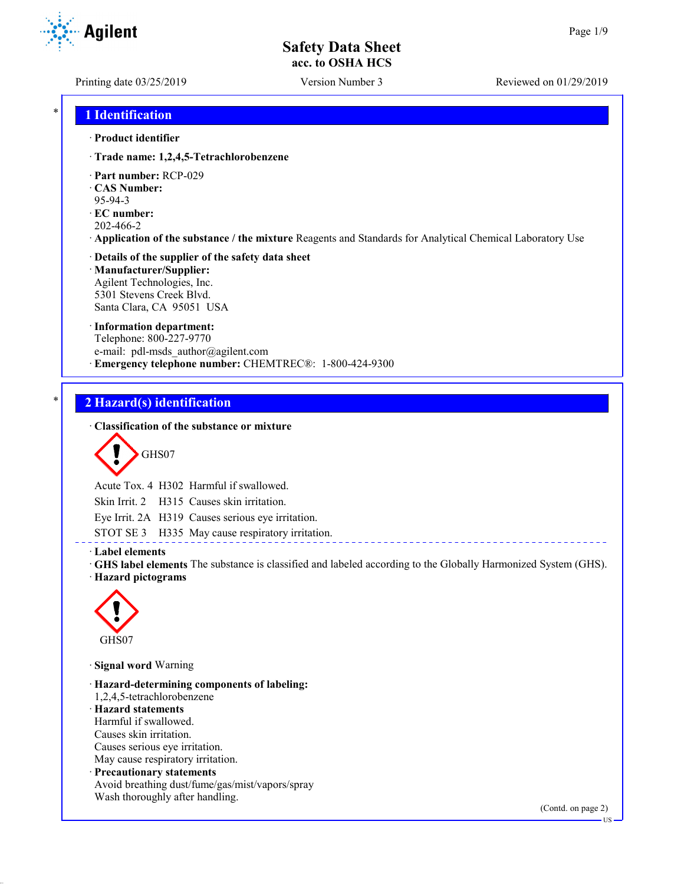**Agilent** 

Printing date 03/25/2019 Version Number 3 Reviewed on 01/29/2019

## \* **1 Identification**

#### · **Product identifier**

· **Trade name: 1,2,4,5-Tetrachlorobenzene**

- · **Part number:** RCP-029
- · **CAS Number:**
- 95-94-3
- · **EC number:**
- 202-466-2
- · **Application of the substance / the mixture** Reagents and Standards for Analytical Chemical Laboratory Use

#### · **Details of the supplier of the safety data sheet** · **Manufacturer/Supplier:** Agilent Technologies, Inc.

5301 Stevens Creek Blvd. Santa Clara, CA 95051 USA

#### · **Information department:**

Telephone: 800-227-9770 e-mail: pdl-msds author@agilent.com · **Emergency telephone number:** CHEMTREC®: 1-800-424-9300

## \* **2 Hazard(s) identification**

#### · **Classification of the substance or mixture**

$$
\bigcirc \mathsf{GHS}07
$$

Acute Tox. 4 H302 Harmful if swallowed.

Skin Irrit. 2 H315 Causes skin irritation.

Eye Irrit. 2A H319 Causes serious eye irritation.

STOT SE 3 H335 May cause respiratory irritation.

#### · **Label elements**

- · **GHS label elements** The substance is classified and labeled according to the Globally Harmonized System (GHS).
- · **Hazard pictograms**



· **Signal word** Warning

· **Hazard-determining components of labeling:** 1,2,4,5-tetrachlorobenzene · **Hazard statements** Harmful if swallowed. Causes skin irritation. Causes serious eye irritation. May cause respiratory irritation. · **Precautionary statements** Avoid breathing dust/fume/gas/mist/vapors/spray Wash thoroughly after handling.

(Contd. on page 2)

US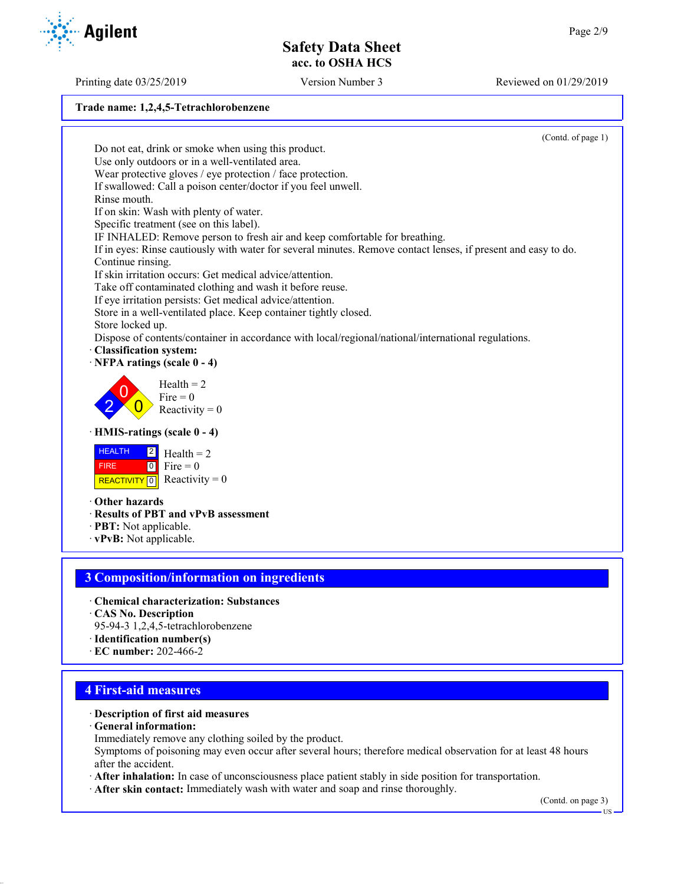# **Trade name: 1,2,4,5-Tetrachlorobenzene**

(Contd. of page 1) Do not eat, drink or smoke when using this product. Use only outdoors or in a well-ventilated area. Wear protective gloves / eye protection / face protection. If swallowed: Call a poison center/doctor if you feel unwell. Rinse mouth. If on skin: Wash with plenty of water. Specific treatment (see on this label). IF INHALED: Remove person to fresh air and keep comfortable for breathing. If in eyes: Rinse cautiously with water for several minutes. Remove contact lenses, if present and easy to do. Continue rinsing. If skin irritation occurs: Get medical advice/attention. Take off contaminated clothing and wash it before reuse. If eye irritation persists: Get medical advice/attention. Store in a well-ventilated place. Keep container tightly closed. Store locked up. Dispose of contents/container in accordance with local/regional/national/international regulations. · **Classification system:** · **NFPA ratings (scale 0 - 4)** 2  $\overline{0}$  $\overline{0}$  $Health = 2$  $Fire = 0$ Reactivity  $= 0$ · **HMIS-ratings (scale 0 - 4) HEALTH**  FIRE REACTIVITY  $\boxed{0}$  Reactivity = 0  $|2|$  $0$  Fire = 0  $Health = 2$ · **Other hazards** · **Results of PBT and vPvB assessment** · **PBT:** Not applicable. · **vPvB:** Not applicable. **3 Composition/information on ingredients** · **Chemical characterization: Substances** · **CAS No. Description** 95-94-3 1,2,4,5-tetrachlorobenzene · **Identification number(s)** · **EC number:** 202-466-2 **4 First-aid measures**

#### · **Description of first aid measures**

· **General information:**

Immediately remove any clothing soiled by the product.

Symptoms of poisoning may even occur after several hours; therefore medical observation for at least 48 hours after the accident.

- · **After inhalation:** In case of unconsciousness place patient stably in side position for transportation.
- · **After skin contact:** Immediately wash with water and soap and rinse thoroughly.

(Contd. on page 3)



Printing date 03/25/2019 Version Number 3 Reviewed on 01/29/2019

US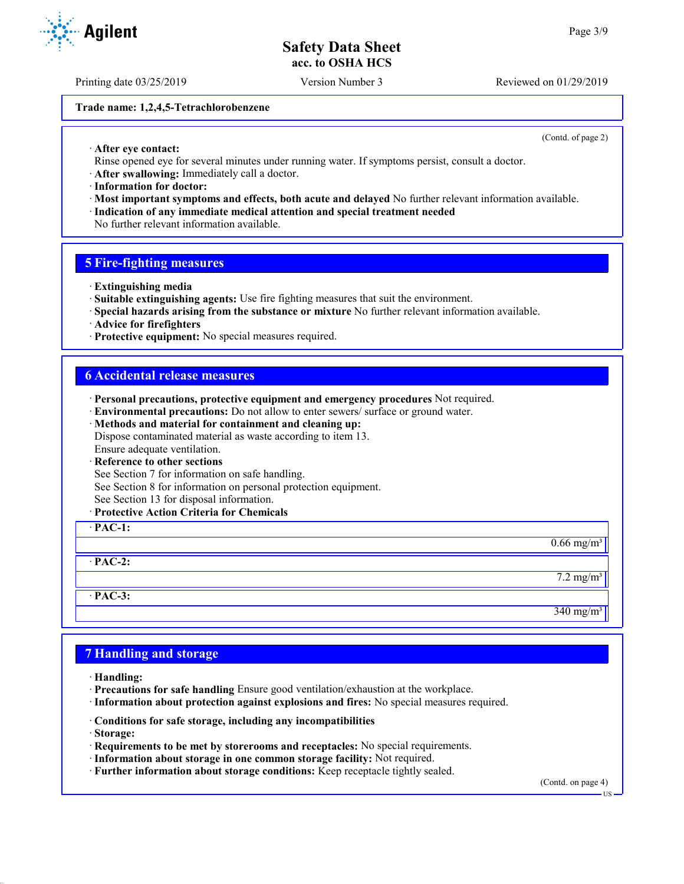Printing date 03/25/2019 Version Number 3 Reviewed on 01/29/2019

#### **Trade name: 1,2,4,5-Tetrachlorobenzene**

(Contd. of page 2)

- · **After eye contact:**
- Rinse opened eye for several minutes under running water. If symptoms persist, consult a doctor.
- · **After swallowing:** Immediately call a doctor.
- · **Information for doctor:**
- · **Most important symptoms and effects, both acute and delayed** No further relevant information available. · **Indication of any immediate medical attention and special treatment needed**
- No further relevant information available.

#### **5 Fire-fighting measures**

- · **Extinguishing media**
- · **Suitable extinguishing agents:** Use fire fighting measures that suit the environment.
- · **Special hazards arising from the substance or mixture** No further relevant information available.
- · **Advice for firefighters**
- · **Protective equipment:** No special measures required.

## **6 Accidental release measures**

- · **Personal precautions, protective equipment and emergency procedures** Not required.
- · **Environmental precautions:** Do not allow to enter sewers/ surface or ground water.
- · **Methods and material for containment and cleaning up:** Dispose contaminated material as waste according to item 13. Ensure adequate ventilation.
- · **Reference to other sections**
- See Section 7 for information on safe handling.
- See Section 8 for information on personal protection equipment.
- See Section 13 for disposal information.
- · **Protective Action Criteria for Chemicals**



## **7 Handling and storage**

- · **Handling:**
- · **Precautions for safe handling** Ensure good ventilation/exhaustion at the workplace.
- · **Information about protection against explosions and fires:** No special measures required.
- · **Conditions for safe storage, including any incompatibilities**
- · **Storage:**
- · **Requirements to be met by storerooms and receptacles:** No special requirements.
- · **Information about storage in one common storage facility:** Not required.
- · **Further information about storage conditions:** Keep receptacle tightly sealed.

(Contd. on page 4)



US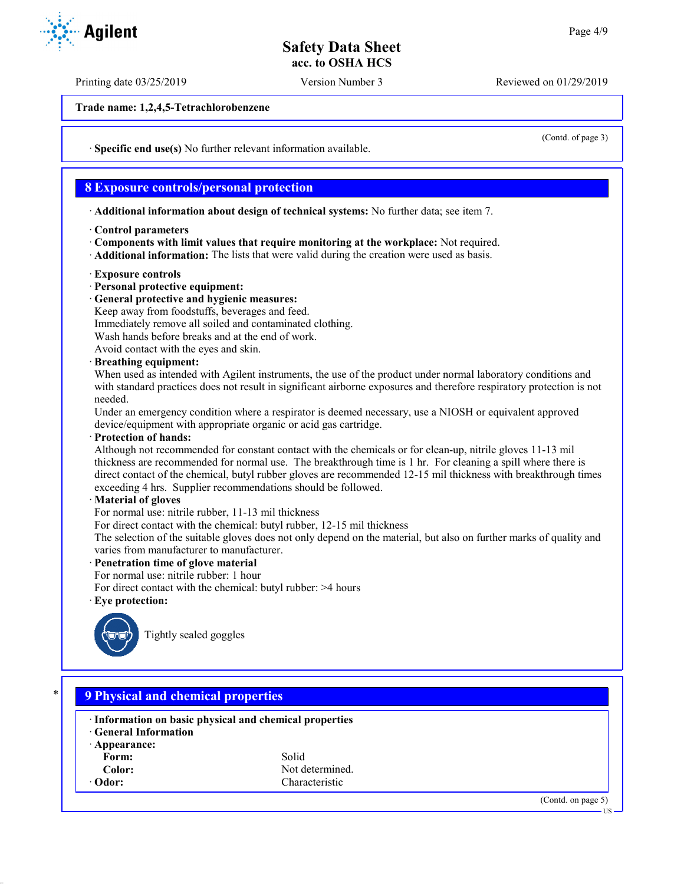Printing date 03/25/2019 Version Number 3 Reviewed on 01/29/2019

**Trade name: 1,2,4,5-Tetrachlorobenzene**

· **Specific end use(s)** No further relevant information available.

## **8 Exposure controls/personal protection**

· **Additional information about design of technical systems:** No further data; see item 7.

- · **Control parameters**
- · **Components with limit values that require monitoring at the workplace:** Not required.
- · **Additional information:** The lists that were valid during the creation were used as basis.
- · **Exposure controls**
- · **Personal protective equipment:**
- · **General protective and hygienic measures:**

Keep away from foodstuffs, beverages and feed.

Immediately remove all soiled and contaminated clothing.

Wash hands before breaks and at the end of work.

Avoid contact with the eyes and skin.

· **Breathing equipment:**

When used as intended with Agilent instruments, the use of the product under normal laboratory conditions and with standard practices does not result in significant airborne exposures and therefore respiratory protection is not needed.

Under an emergency condition where a respirator is deemed necessary, use a NIOSH or equivalent approved device/equipment with appropriate organic or acid gas cartridge.

· **Protection of hands:**

Although not recommended for constant contact with the chemicals or for clean-up, nitrile gloves 11-13 mil thickness are recommended for normal use. The breakthrough time is 1 hr. For cleaning a spill where there is direct contact of the chemical, butyl rubber gloves are recommended 12-15 mil thickness with breakthrough times exceeding 4 hrs. Supplier recommendations should be followed.

#### · **Material of gloves**

For normal use: nitrile rubber, 11-13 mil thickness

For direct contact with the chemical: butyl rubber, 12-15 mil thickness

The selection of the suitable gloves does not only depend on the material, but also on further marks of quality and varies from manufacturer to manufacturer.

· **Penetration time of glove material**

For normal use: nitrile rubber: 1 hour

For direct contact with the chemical: butyl rubber: >4 hours

· **Eye protection:**



Tightly sealed goggles

## \* **9 Physical and chemical properties**

- · **Information on basic physical and chemical properties**
- · **General Information**
- · **Appearance:** Form: Solid
- 
- 

**Color:** Not determined.<br> **Characteristic** Characteristic Characteristic

(Contd. on page 5)



(Contd. of page 3)

US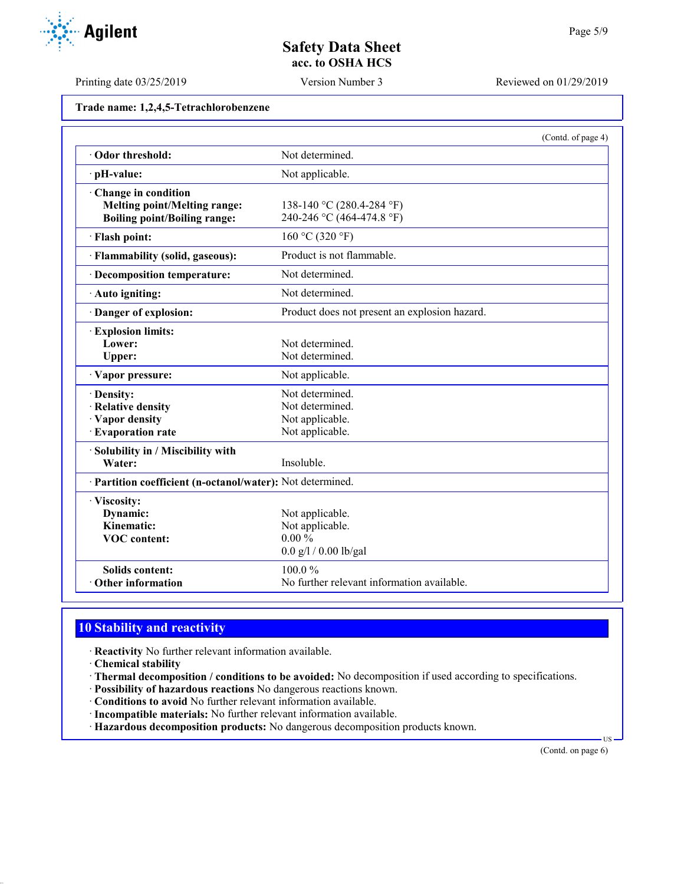Printing date 03/25/2019 Version Number 3 Reviewed on 01/29/2019

|  | Trade name: 1,2,4,5-Tetrachlorobenzene |
|--|----------------------------------------|
|--|----------------------------------------|

|                                                            | (Contd. of page 4)                            |  |
|------------------------------------------------------------|-----------------------------------------------|--|
| Odor threshold:                                            | Not determined.                               |  |
| · pH-value:                                                | Not applicable.                               |  |
| Change in condition                                        |                                               |  |
| <b>Melting point/Melting range:</b>                        | 138-140 °C (280.4-284 °F)                     |  |
| <b>Boiling point/Boiling range:</b>                        | 240-246 °C (464-474.8 °F)                     |  |
| · Flash point:                                             | 160 °C (320 °F)                               |  |
| · Flammability (solid, gaseous):                           | Product is not flammable.                     |  |
| · Decomposition temperature:                               | Not determined.                               |  |
| · Auto igniting:                                           | Not determined.                               |  |
| Danger of explosion:                                       | Product does not present an explosion hazard. |  |
| <b>Explosion limits:</b>                                   |                                               |  |
| Lower:                                                     | Not determined.                               |  |
| Upper:                                                     | Not determined.                               |  |
| · Vapor pressure:                                          | Not applicable.                               |  |
| · Density:                                                 | Not determined.                               |  |
| · Relative density                                         | Not determined.                               |  |
| · Vapor density                                            | Not applicable.                               |  |
| · Evaporation rate                                         | Not applicable.                               |  |
| · Solubility in / Miscibility with                         |                                               |  |
| Water:                                                     | Insoluble.                                    |  |
| · Partition coefficient (n-octanol/water): Not determined. |                                               |  |
| · Viscosity:                                               |                                               |  |
| Dynamic:                                                   | Not applicable.                               |  |
| Kinematic:                                                 | Not applicable.                               |  |
| <b>VOC</b> content:                                        | $0.00\%$                                      |  |
|                                                            | $0.0$ g/l / 0.00 lb/gal                       |  |
| <b>Solids content:</b>                                     | 100.0%                                        |  |
| Other information                                          | No further relevant information available.    |  |

## **10 Stability and reactivity**

· **Reactivity** No further relevant information available.

- · **Chemical stability**
- · **Thermal decomposition / conditions to be avoided:** No decomposition if used according to specifications.
- · **Possibility of hazardous reactions** No dangerous reactions known.
- · **Conditions to avoid** No further relevant information available.
- · **Incompatible materials:** No further relevant information available.
- · **Hazardous decomposition products:** No dangerous decomposition products known.

(Contd. on page 6)

US

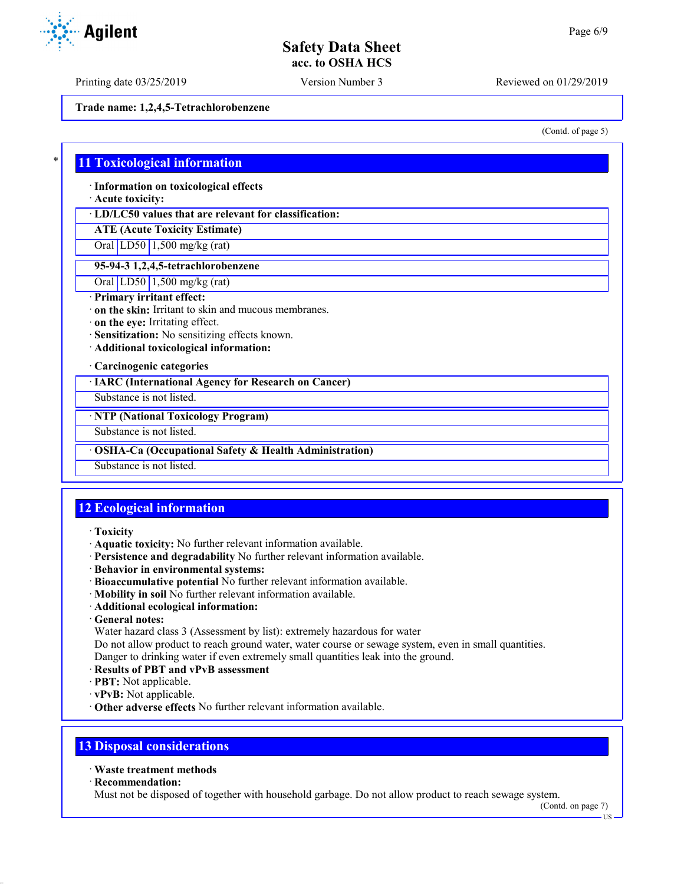Printing date 03/25/2019 Version Number 3 Reviewed on 01/29/2019

**Trade name: 1,2,4,5-Tetrachlorobenzene**

(Contd. of page 5)

## \* **11 Toxicological information**

· **Information on toxicological effects**

· **Acute toxicity:**

· **LD/LC50 values that are relevant for classification:**

**ATE (Acute Toxicity Estimate)**

Oral LD50 1,500 mg/kg (rat)

#### **95-94-3 1,2,4,5-tetrachlorobenzene**

Oral LD50 1,500 mg/kg (rat)

#### · **Primary irritant effect:**

· **on the skin:** Irritant to skin and mucous membranes.

· **on the eye:** Irritating effect.

· **Sensitization:** No sensitizing effects known.

· **Additional toxicological information:**

· **Carcinogenic categories**

· **IARC (International Agency for Research on Cancer)**

Substance is not listed.

· **NTP (National Toxicology Program)**

Substance is not listed.

· **OSHA-Ca (Occupational Safety & Health Administration)**

Substance is not listed.

## **12 Ecological information**

- · **Toxicity**
- · **Aquatic toxicity:** No further relevant information available.
- · **Persistence and degradability** No further relevant information available.
- · **Behavior in environmental systems:**
- · **Bioaccumulative potential** No further relevant information available.
- · **Mobility in soil** No further relevant information available.
- · **Additional ecological information:**
- · **General notes:**

Water hazard class 3 (Assessment by list): extremely hazardous for water

Do not allow product to reach ground water, water course or sewage system, even in small quantities.

Danger to drinking water if even extremely small quantities leak into the ground.

- · **Results of PBT and vPvB assessment**
- · **PBT:** Not applicable.
- · **vPvB:** Not applicable.
- · **Other adverse effects** No further relevant information available.

## **13 Disposal considerations**

#### · **Waste treatment methods**

· **Recommendation:**

Must not be disposed of together with household garbage. Do not allow product to reach sewage system.

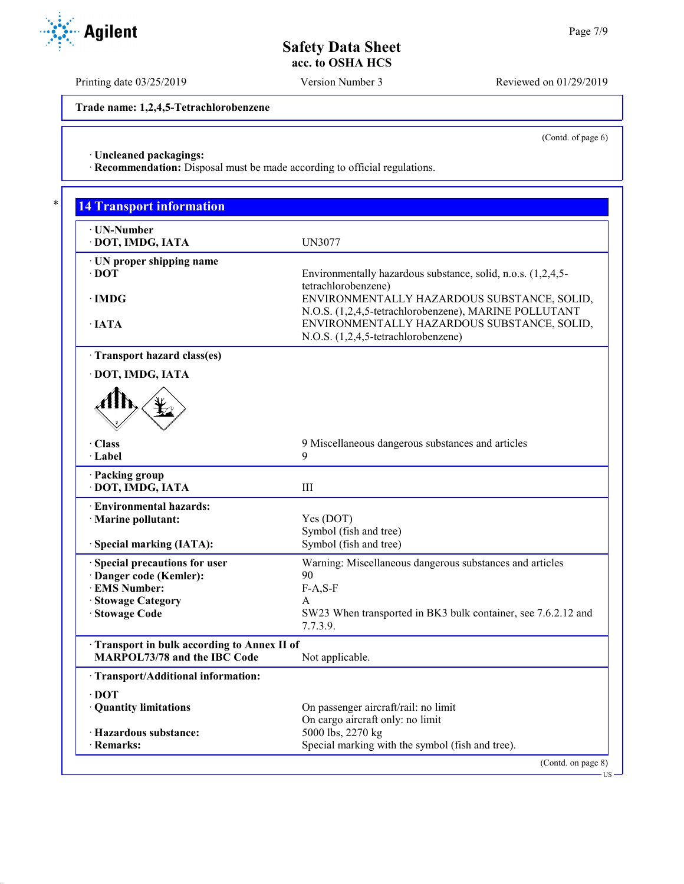Printing date 03/25/2019 Version Number 3 Reviewed on 01/29/2019

**Trade name: 1,2,4,5-Tetrachlorobenzene**

(Contd. of page 6)

US

· **Uncleaned packagings:**

· **Recommendation:** Disposal must be made according to official regulations.

| · UN-Number                                |                                                                    |
|--------------------------------------------|--------------------------------------------------------------------|
| · DOT, IMDG, IATA                          | <b>UN3077</b>                                                      |
| · UN proper shipping name                  |                                                                    |
| $\cdot$ DOT                                | Environmentally hazardous substance, solid, n.o.s. (1,2,4,5-       |
|                                            | tetrachlorobenzene)                                                |
| $\cdot$ IMDG                               | ENVIRONMENTALLY HAZARDOUS SUBSTANCE, SOLID,                        |
|                                            | N.O.S. (1,2,4,5-tetrachlorobenzene), MARINE POLLUTANT              |
| $\cdot$ IATA                               | ENVIRONMENTALLY HAZARDOUS SUBSTANCE, SOLID,                        |
|                                            | N.O.S. (1,2,4,5-tetrachlorobenzene)                                |
| Transport hazard class(es)                 |                                                                    |
| · DOT, IMDG, IATA                          |                                                                    |
| · Class                                    | 9 Miscellaneous dangerous substances and articles                  |
| · Label                                    | 9                                                                  |
| · Packing group                            |                                                                    |
| · DOT, IMDG, IATA                          | III                                                                |
| · Environmental hazards:                   |                                                                    |
| · Marine pollutant:                        | Yes (DOT)                                                          |
|                                            | Symbol (fish and tree)                                             |
| · Special marking (IATA):                  | Symbol (fish and tree)                                             |
| · Special precautions for user             | Warning: Miscellaneous dangerous substances and articles           |
| · Danger code (Kemler):                    | 90                                                                 |
| · EMS Number:                              | $F-A, S-F$                                                         |
| · Stowage Category<br>· Stowage Code       | A<br>SW23 When transported in BK3 bulk container, see 7.6.2.12 and |
|                                            | 7.7.3.9.                                                           |
| Transport in bulk according to Annex II of |                                                                    |
| <b>MARPOL73/78 and the IBC Code</b>        | Not applicable.                                                    |
| · Transport/Additional information:        |                                                                    |
| $\cdot$ DOT                                |                                                                    |
|                                            | On passenger aircraft/rail: no limit                               |
| · Quantity limitations                     |                                                                    |
| · Hazardous substance:                     | On cargo aircraft only: no limit<br>5000 lbs, 2270 kg              |

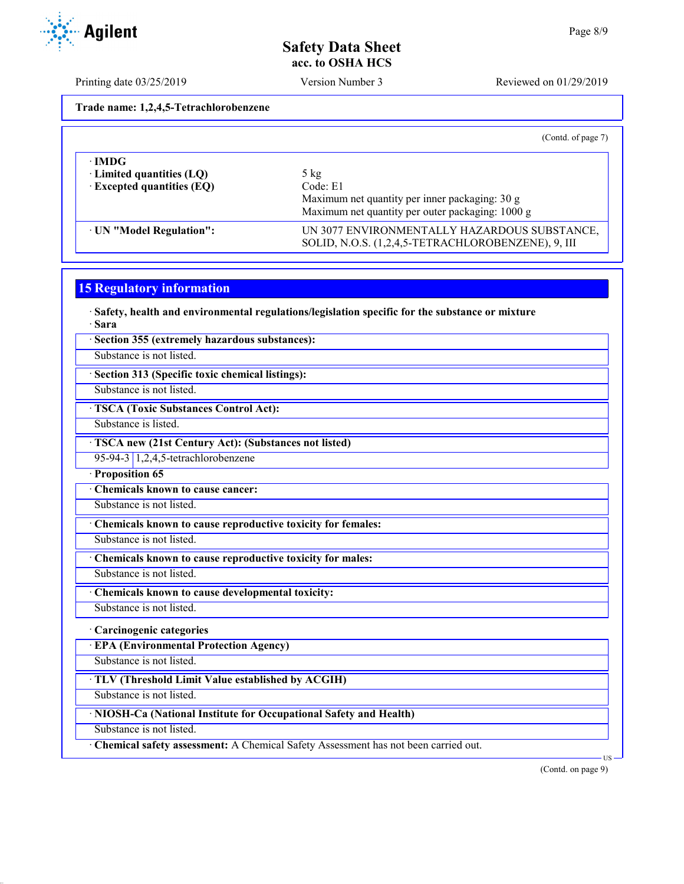Printing date 03/25/2019 Version Number 3 Reviewed on 01/29/2019

**Trade name: 1,2,4,5-Tetrachlorobenzene**

|                                                                              | (Contd. of page 7)                                                                                                               |
|------------------------------------------------------------------------------|----------------------------------------------------------------------------------------------------------------------------------|
| ∙IMDG<br>$\cdot$ Limited quantities (LQ)<br>$\cdot$ Excepted quantities (EQ) | $5 \text{ kg}$<br>Code: E1<br>Maximum net quantity per inner packaging: 30 g<br>Maximum net quantity per outer packaging: 1000 g |
| · UN "Model Regulation":                                                     | UN 3077 ENVIRONMENTALLY HAZARDOUS SUBSTANCE,<br>SOLID, N.O.S. (1,2,4,5-TETRACHLOROBENZENE), 9, III                               |

## **15 Regulatory information**

· **Safety, health and environmental regulations/legislation specific for the substance or mixture** · **Sara**

| · Section 355 (extremely hazardous substances): |  |  |  |  |
|-------------------------------------------------|--|--|--|--|
|-------------------------------------------------|--|--|--|--|

Substance is not listed.

· **Section 313 (Specific toxic chemical listings):**

Substance is not listed.

· **TSCA (Toxic Substances Control Act):**

Substance is listed.

· **TSCA new (21st Century Act): (Substances not listed)**

95-94-3 1,2,4,5-tetrachlorobenzene

· **Proposition 65**

· **Chemicals known to cause cancer:**

Substance is not listed.

· **Chemicals known to cause reproductive toxicity for females:**

Substance is not listed.

· **Chemicals known to cause reproductive toxicity for males:**

Substance is not listed.

· **Chemicals known to cause developmental toxicity:**

Substance is not listed.

#### · **Carcinogenic categories**

· **EPA (Environmental Protection Agency)**

Substance is not listed. · **TLV (Threshold Limit Value established by ACGIH)**

Substance is not listed.

#### · **NIOSH-Ca (National Institute for Occupational Safety and Health)**

Substance is not listed.

· **Chemical safety assessment:** A Chemical Safety Assessment has not been carried out.

(Contd. on page 9)

US